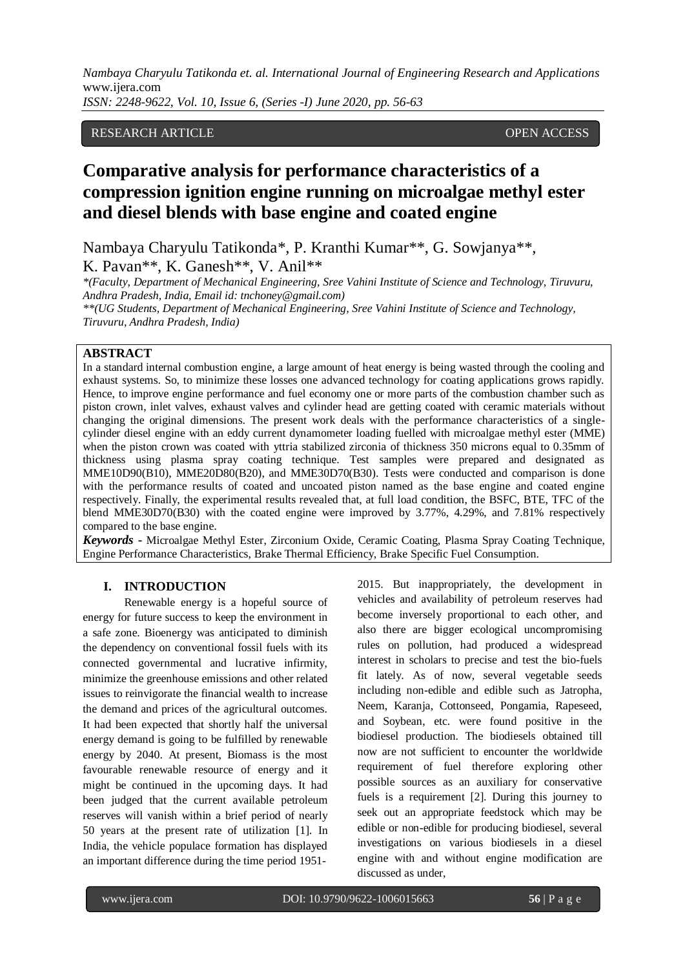*Nambaya Charyulu Tatikonda et. al. International Journal of Engineering Research and Applications*  www.ijera.com

*ISSN: 2248-9622, Vol. 10, Issue 6, (Series -I) June 2020, pp. 56-63*

## RESEARCH ARTICLE **CONTRACT OPEN ACCESS**

# **Comparative analysis for performance characteristics of a compression ignition engine running on microalgae methyl ester and diesel blends with base engine and coated engine**

Nambaya Charyulu Tatikonda\*, P. Kranthi Kumar\*\*, G. Sowjanya\*\*, K. Pavan\*\*, K. Ganesh\*\*, V. Anil\*\*

*\*(Faculty, Department of Mechanical Engineering, Sree Vahini Institute of Science and Technology, Tiruvuru, Andhra Pradesh, India, Email id: tnchoney@gmail.com)*

*\*\*(UG Students, Department of Mechanical Engineering, Sree Vahini Institute of Science and Technology, Tiruvuru, Andhra Pradesh, India)*

## **ABSTRACT**

In a standard internal combustion engine, a large amount of heat energy is being wasted through the cooling and exhaust systems. So, to minimize these losses one advanced technology for coating applications grows rapidly. Hence, to improve engine performance and fuel economy one or more parts of the combustion chamber such as piston crown, inlet valves, exhaust valves and cylinder head are getting coated with ceramic materials without changing the original dimensions. The present work deals with the performance characteristics of a singlecylinder diesel engine with an eddy current dynamometer loading fuelled with microalgae methyl ester (MME) when the piston crown was coated with yttria stabilized zirconia of thickness 350 microns equal to 0.35mm of thickness using plasma spray coating technique. Test samples were prepared and designated as MME10D90(B10), MME20D80(B20), and MME30D70(B30). Tests were conducted and comparison is done with the performance results of coated and uncoated piston named as the base engine and coated engine respectively. Finally, the experimental results revealed that, at full load condition, the BSFC, BTE, TFC of the blend MME30D70(B30) with the coated engine were improved by 3.77%, 4.29%, and 7.81% respectively compared to the base engine.

*Keywords* **-** Microalgae Methyl Ester, Zirconium Oxide, Ceramic Coating, Plasma Spray Coating Technique, Engine Performance Characteristics, Brake Thermal Efficiency, Brake Specific Fuel Consumption.

#### **I. INTRODUCTION**

Renewable energy is a hopeful source of energy for future success to keep the environment in a safe zone. Bioenergy was anticipated to diminish the dependency on conventional fossil fuels with its connected governmental and lucrative infirmity, minimize the greenhouse emissions and other related issues to reinvigorate the financial wealth to increase the demand and prices of the agricultural outcomes. It had been expected that shortly half the universal energy demand is going to be fulfilled by renewable energy by 2040. At present, Biomass is the most favourable renewable resource of energy and it might be continued in the upcoming days. It had been judged that the current available petroleum reserves will vanish within a brief period of nearly 50 years at the present rate of utilization [1]. In India, the vehicle populace formation has displayed an important difference during the time period 19512015. But inappropriately, the development in vehicles and availability of petroleum reserves had become inversely proportional to each other, and also there are bigger ecological uncompromising rules on pollution, had produced a widespread interest in scholars to precise and test the bio-fuels fit lately. As of now, several vegetable seeds including non-edible and edible such as Jatropha, Neem, Karanja, Cottonseed, Pongamia, Rapeseed, and Soybean, etc. were found positive in the biodiesel production. The biodiesels obtained till now are not sufficient to encounter the worldwide requirement of fuel therefore exploring other possible sources as an auxiliary for conservative fuels is a requirement [2]. During this journey to seek out an appropriate feedstock which may be edible or non-edible for producing biodiesel, several investigations on various biodiesels in a diesel engine with and without engine modification are discussed as under,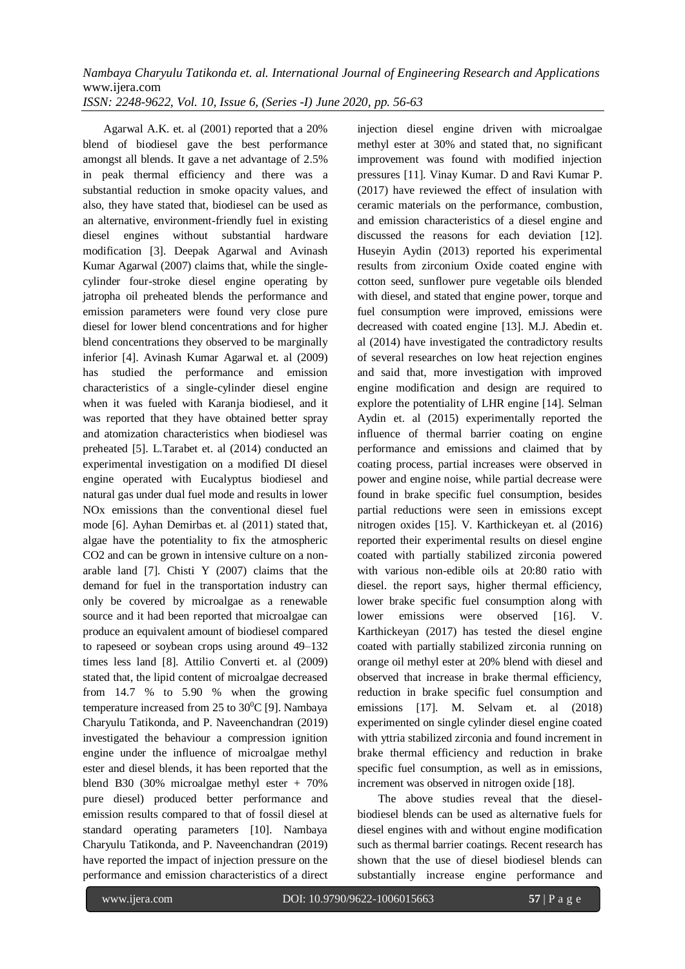Agarwal A.K. et. al (2001) reported that a 20% blend of biodiesel gave the best performance amongst all blends. It gave a net advantage of 2.5% in peak thermal efficiency and there was a substantial reduction in smoke opacity values, and also, they have stated that, biodiesel can be used as an alternative, environment-friendly fuel in existing diesel engines without substantial hardware modification [3]. Deepak Agarwal and Avinash Kumar Agarwal (2007) claims that, while the singlecylinder four-stroke diesel engine operating by jatropha oil preheated blends the performance and emission parameters were found very close pure diesel for lower blend concentrations and for higher blend concentrations they observed to be marginally inferior [4]. Avinash Kumar Agarwal et. al (2009) has studied the performance and emission characteristics of a single-cylinder diesel engine when it was fueled with Karanja biodiesel, and it was reported that they have obtained better spray and atomization characteristics when biodiesel was preheated [5]. L.Tarabet et. al (2014) conducted an experimental investigation on a modified DI diesel engine operated with Eucalyptus biodiesel and natural gas under dual fuel mode and results in lower NOx emissions than the conventional diesel fuel mode [6]. Ayhan Demirbas et. al (2011) stated that, algae have the potentiality to fix the atmospheric CO2 and can be grown in intensive culture on a nonarable land [7]. Chisti Y (2007) claims that the demand for fuel in the transportation industry can only be covered by microalgae as a renewable source and it had been reported that microalgae can produce an equivalent amount of biodiesel compared to rapeseed or soybean crops using around 49–132 times less land [8]. Attilio Converti et. al (2009) stated that, the lipid content of microalgae decreased from 14.7 % to 5.90 % when the growing temperature increased from 25 to  $30^{\circ}$ C [9]. Nambaya Charyulu Tatikonda, and P. Naveenchandran (2019) investigated the behaviour a compression ignition engine under the influence of microalgae methyl ester and diesel blends, it has been reported that the blend B30 (30% microalgae methyl ester + 70% pure diesel) produced better performance and emission results compared to that of fossil diesel at standard operating parameters [10]. Nambaya Charyulu Tatikonda, and P. Naveenchandran (2019) have reported the impact of injection pressure on the performance and emission characteristics of a direct

injection diesel engine driven with microalgae methyl ester at 30% and stated that, no significant improvement was found with modified injection pressures [11]. Vinay Kumar. D and Ravi Kumar P. (2017) have reviewed the effect of insulation with ceramic materials on the performance, combustion, and emission characteristics of a diesel engine and discussed the reasons for each deviation [12]. Huseyin Aydin (2013) reported his experimental results from zirconium Oxide coated engine with cotton seed, sunflower pure vegetable oils blended with diesel, and stated that engine power, torque and fuel consumption were improved, emissions were decreased with coated engine [13]. M.J. Abedin et. al (2014) have investigated the contradictory results of several researches on low heat rejection engines and said that, more investigation with improved engine modification and design are required to explore the potentiality of LHR engine [14]. Selman Aydin et. al (2015) experimentally reported the influence of thermal barrier coating on engine performance and emissions and claimed that by coating process, partial increases were observed in power and engine noise, while partial decrease were found in brake specific fuel consumption, besides partial reductions were seen in emissions except nitrogen oxides [15]. V. Karthickeyan et. al (2016) reported their experimental results on diesel engine coated with partially stabilized zirconia powered with various non-edible oils at 20:80 ratio with diesel. the report says, higher thermal efficiency, lower brake specific fuel consumption along with lower emissions were observed [16]. V. Karthickeyan (2017) has tested the diesel engine coated with partially stabilized zirconia running on orange oil methyl ester at 20% blend with diesel and observed that increase in brake thermal efficiency, reduction in brake specific fuel consumption and emissions [17]. M. Selvam et. al (2018) experimented on single cylinder diesel engine coated with yttria stabilized zirconia and found increment in brake thermal efficiency and reduction in brake specific fuel consumption, as well as in emissions, increment was observed in nitrogen oxide [18].

The above studies reveal that the dieselbiodiesel blends can be used as alternative fuels for diesel engines with and without engine modification such as thermal barrier coatings. Recent research has shown that the use of diesel biodiesel blends can substantially increase engine performance and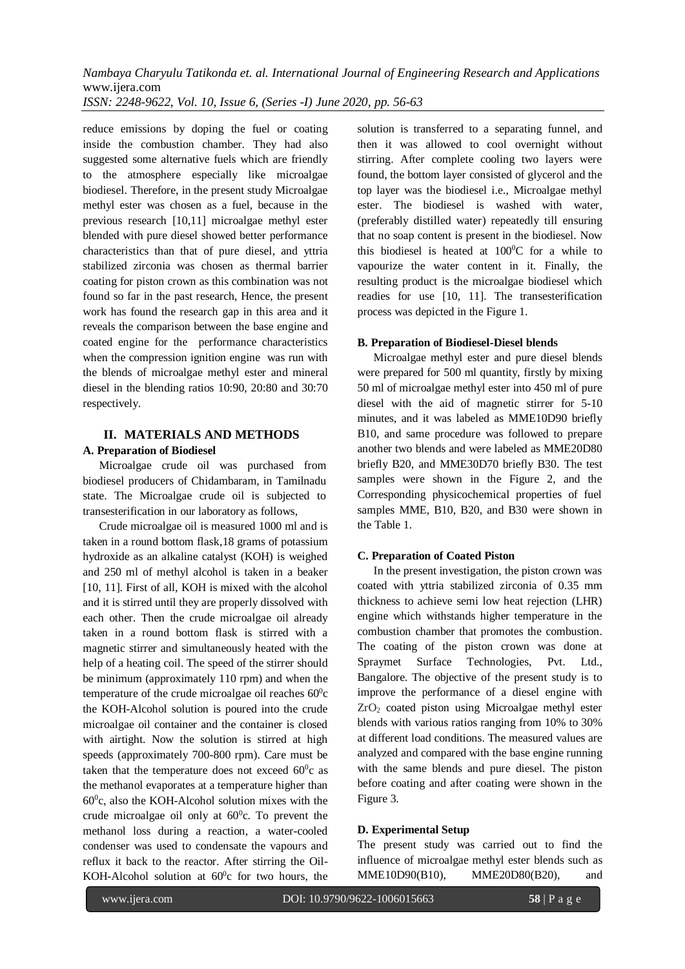reduce emissions by doping the fuel or coating inside the combustion chamber. They had also suggested some alternative fuels which are friendly to the atmosphere especially like microalgae biodiesel. Therefore, in the present study Microalgae methyl ester was chosen as a fuel, because in the previous research [10,11] microalgae methyl ester blended with pure diesel showed better performance characteristics than that of pure diesel, and yttria stabilized zirconia was chosen as thermal barrier coating for piston crown as this combination was not found so far in the past research, Hence, the present work has found the research gap in this area and it reveals the comparison between the base engine and coated engine for the performance characteristics when the compression ignition engine was run with the blends of microalgae methyl ester and mineral diesel in the blending ratios 10:90, 20:80 and 30:70 respectively.

## **II. MATERIALS AND METHODS**

## **A. Preparation of Biodiesel**

Microalgae crude oil was purchased from biodiesel producers of Chidambaram, in Tamilnadu state. The Microalgae crude oil is subjected to transesterification in our laboratory as follows,

Crude microalgae oil is measured 1000 ml and is taken in a round bottom flask,18 grams of potassium hydroxide as an alkaline catalyst (KOH) is weighed and 250 ml of methyl alcohol is taken in a beaker [10, 11]. First of all, KOH is mixed with the alcohol and it is stirred until they are properly dissolved with each other. Then the crude microalgae oil already taken in a round bottom flask is stirred with a magnetic stirrer and simultaneously heated with the help of a heating coil. The speed of the stirrer should be minimum (approximately 110 rpm) and when the temperature of the crude microalgae oil reaches  $60^{\circ}$ c the KOH-Alcohol solution is poured into the crude microalgae oil container and the container is closed with airtight. Now the solution is stirred at high speeds (approximately 700-800 rpm). Care must be taken that the temperature does not exceed  $60^{\circ}$ c as the methanol evaporates at a temperature higher than 60<sup>0</sup> c, also the KOH-Alcohol solution mixes with the crude microalgae oil only at  $60^{\circ}$ c. To prevent the methanol loss during a reaction, a water-cooled condenser was used to condensate the vapours and reflux it back to the reactor. After stirring the Oil-KOH-Alcohol solution at  $60^{\circ}$ c for two hours, the solution is transferred to a separating funnel, and then it was allowed to cool overnight without stirring. After complete cooling two layers were found, the bottom layer consisted of glycerol and the top layer was the biodiesel i.e., Microalgae methyl ester. The biodiesel is washed with water, (preferably distilled water) repeatedly till ensuring that no soap content is present in the biodiesel. Now this biodiesel is heated at  $100^{\circ}$ C for a while to vapourize the water content in it. Finally, the resulting product is the microalgae biodiesel which readies for use [10, 11]. The transesterification process was depicted in the Figure 1.

## **B. Preparation of Biodiesel-Diesel blends**

Microalgae methyl ester and pure diesel blends were prepared for 500 ml quantity, firstly by mixing 50 ml of microalgae methyl ester into 450 ml of pure diesel with the aid of magnetic stirrer for 5-10 minutes, and it was labeled as MME10D90 briefly B10, and same procedure was followed to prepare another two blends and were labeled as MME20D80 briefly B20, and MME30D70 briefly B30. The test samples were shown in the Figure 2, and the Corresponding physicochemical properties of fuel samples MME, B10, B20, and B30 were shown in the Table 1.

## **C. Preparation of Coated Piston**

In the present investigation, the piston crown was coated with yttria stabilized zirconia of 0.35 mm thickness to achieve semi low heat rejection (LHR) engine which withstands higher temperature in the combustion chamber that promotes the combustion. The coating of the piston crown was done at Spraymet Surface Technologies, Pvt. Ltd., Bangalore. The objective of the present study is to improve the performance of a diesel engine with ZrO<sup>2</sup> coated piston using Microalgae methyl ester blends with various ratios ranging from 10% to 30% at different load conditions. The measured values are analyzed and compared with the base engine running with the same blends and pure diesel. The piston before coating and after coating were shown in the Figure 3.

## **D. Experimental Setup**

The present study was carried out to find the influence of microalgae methyl ester blends such as MME10D90(B10), MME20D80(B20), and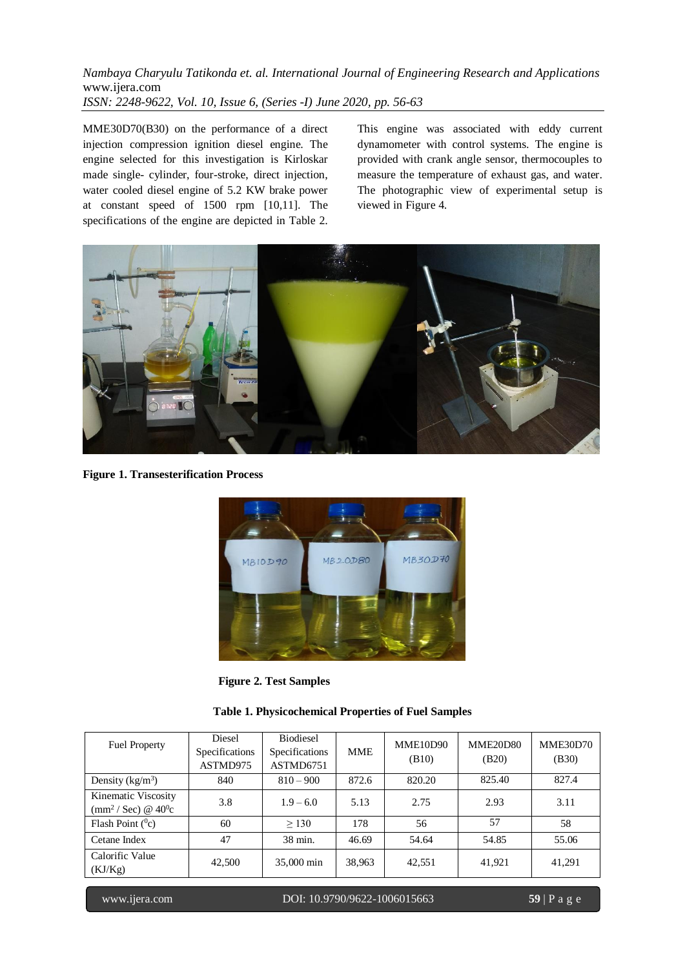MME30D70(B30) on the performance of a direct injection compression ignition diesel engine. The engine selected for this investigation is Kirloskar made single- cylinder, four-stroke, direct injection, water cooled diesel engine of 5.2 KW brake power at constant speed of 1500 rpm [10,11]. The specifications of the engine are depicted in Table 2.

This engine was associated with eddy current dynamometer with control systems. The engine is provided with crank angle sensor, thermocouples to measure the temperature of exhaust gas, and water. The photographic view of experimental setup is viewed in Figure 4.



**Figure 1. Transesterification Process**



 **Figure 2. Test Samples**

| <b>Table 1. Physicochemical Properties of Fuel Samples</b> |  |
|------------------------------------------------------------|--|
|------------------------------------------------------------|--|

| <b>Fuel Property</b>                                                      | Diesel<br>Specifications<br>ASTMD975 | <b>Biodiesel</b><br>Specifications<br>ASTMD6751 | <b>MME</b> | MME10D90<br>(B10) | <b>MME20D80</b><br>(B20) | <b>MME30D70</b><br>(B30) |
|---------------------------------------------------------------------------|--------------------------------------|-------------------------------------------------|------------|-------------------|--------------------------|--------------------------|
| Density $(kg/m^3)$                                                        | 840                                  | $810 - 900$                                     | 872.6      | 820.20            | 825.40                   | 827.4                    |
| Kinematic Viscosity<br>$\text{(mm}^2/\text{Sec})\otimes 40^\circ\text{c}$ | 3.8                                  | $1.9 - 6.0$                                     | 5.13       | 2.75              | 2.93                     | 3.11                     |
| Flash Point $(^0c)$                                                       | 60                                   | > 130                                           | 178        | 56                | 57                       | 58                       |
| Cetane Index                                                              | 47                                   | 38 min.                                         | 46.69      | 54.64             | 54.85                    | 55.06                    |
| Calorific Value<br>(KJ/Kg)                                                | 42,500                               | 35,000 min                                      | 38,963     | 42,551            | 41,921                   | 41,291                   |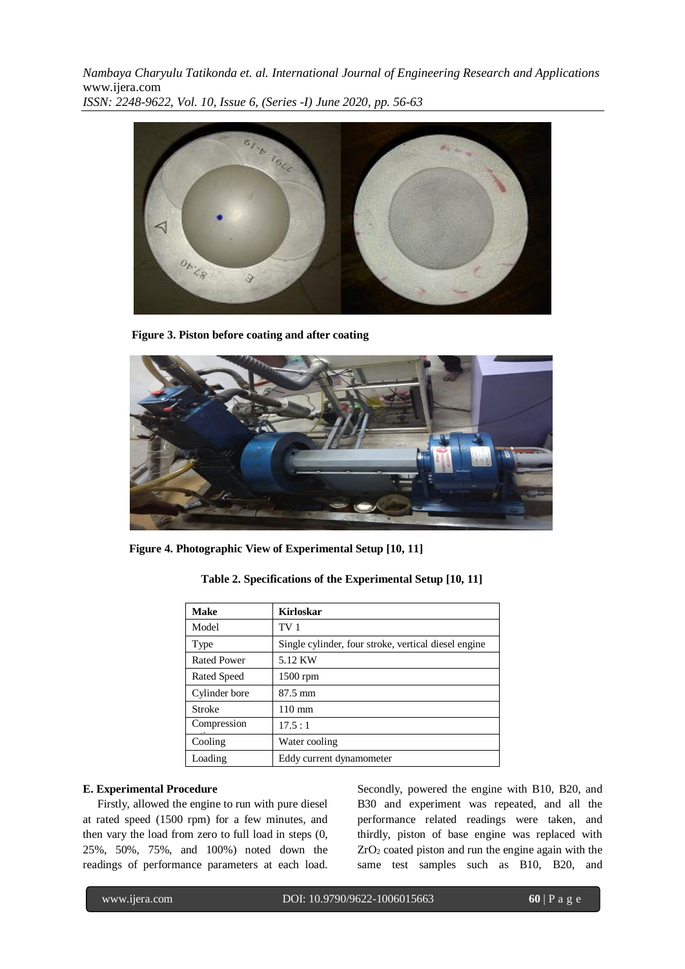

**Figure 3. Piston before coating and after coating**



 **Figure 4. Photographic View of Experimental Setup [10, 11]**

| <b>Make</b>        | <b>Kirloskar</b>                                     |
|--------------------|------------------------------------------------------|
| Model              | TV <sub>1</sub>                                      |
| Type               | Single cylinder, four stroke, vertical diesel engine |
| <b>Rated Power</b> | 5.12 KW                                              |
| Rated Speed        | $1500$ rpm                                           |
| Cylinder bore      | $87.5 \text{ mm}$                                    |
| Stroke             | $110 \text{ mm}$                                     |
| Compression        | 17.5:1                                               |
| Cooling            | Water cooling                                        |
| Loading            | Eddy current dynamometer                             |

| Table 2. Specifications of the Experimental Setup [10, 11] |  |  |  |  |  |
|------------------------------------------------------------|--|--|--|--|--|
|------------------------------------------------------------|--|--|--|--|--|

#### **E. Experimental Procedure**

 Firstly, allowed the engine to run with pure diesel at rated speed (1500 rpm) for a few minutes, and then vary the load from zero to full load in steps (0, 25%, 50%, 75%, and 100%) noted down the readings of performance parameters at each load. Secondly, powered the engine with B10, B20, and B30 and experiment was repeated, and all the performance related readings were taken, and thirdly, piston of base engine was replaced with  $ZrO<sub>2</sub>$  coated piston and run the engine again with the same test samples such as B10, B20, and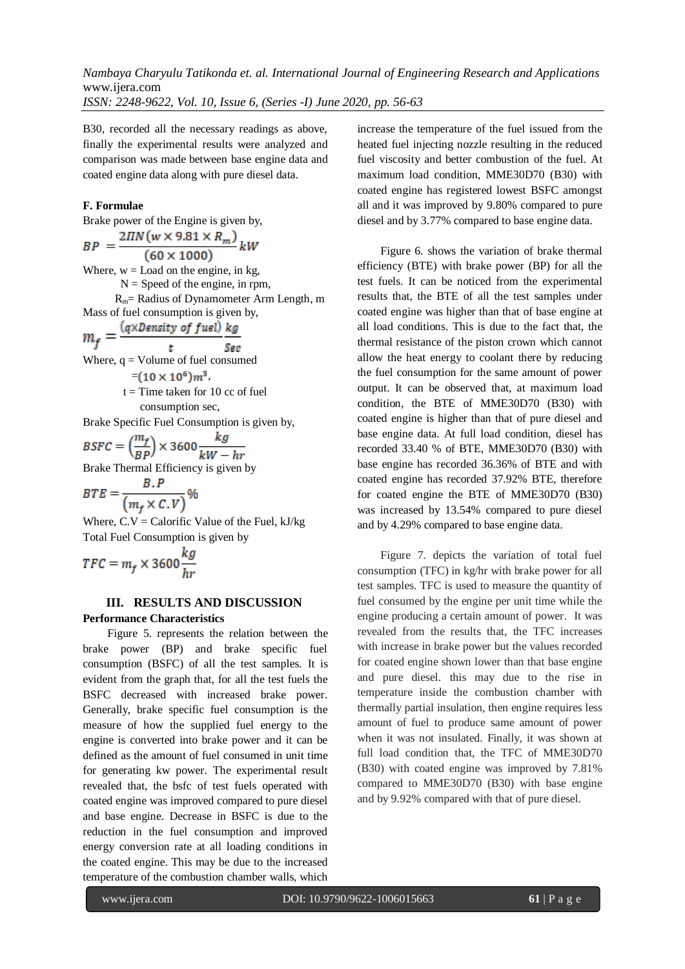B30, recorded all the necessary readings as above, finally the experimental results were analyzed and comparison was made between base engine data and coated engine data along with pure diesel data.

#### **F. Formulae**

Brake power of the Engine is given by,

$$
BP = \frac{2\pi N(w \times 9.81 \times R_m)}{k}
$$

 $(60 \times 1000)$ Where,  $w =$  Load on the engine, in kg,  $N =$  Speed of the engine, in rpm,

 Rm= Radius of Dynamometer Arm Length, m Mass of fuel consumption is given by,

$$
m_{\epsilon} = \frac{(q \times Density \text{ of } fuel)}{kg}
$$

 $m_f$ t Sac Where,  $q =$  Volume of fuel consumed  $=(10 \times 10^6)m^3$ ,

 $t =$ Time taken for 10 cc of fuel consumption sec,

Brake Specific Fuel Consumption is given by,

 $\text{BSFC} = \left(\frac{m_f}{BP}\right) \times 3600 \frac{kg}{kW - hr}$ 

Brake Thermal Efficiency is given by

$$
BTE = \frac{B \cdot P}{\left(m_f \times C \cdot V\right)} \%
$$

Where,  $C.V = Calorific Value of the Fe I, kJ/kg$ Total Fuel Consumption is given by

$$
TFC = m_f \times 3600 \frac{kg}{hr}
$$

#### **III. RESULTS AND DISCUSSION Performance Characteristics**

Figure 5. represents the relation between the brake power (BP) and brake specific fuel consumption (BSFC) of all the test samples. It is evident from the graph that, for all the test fuels the BSFC decreased with increased brake power. Generally, brake specific fuel consumption is the measure of how the supplied fuel energy to the engine is converted into brake power and it can be defined as the amount of fuel consumed in unit time for generating kw power. The experimental result revealed that, the bsfc of test fuels operated with coated engine was improved compared to pure diesel and base engine. Decrease in BSFC is due to the reduction in the fuel consumption and improved energy conversion rate at all loading conditions in the coated engine. This may be due to the increased temperature of the combustion chamber walls, which

increase the temperature of the fuel issued from the heated fuel injecting nozzle resulting in the reduced fuel viscosity and better combustion of the fuel. At maximum load condition, MME30D70 (B30) with coated engine has registered lowest BSFC amongst all and it was improved by 9.80% compared to pure diesel and by 3.77% compared to base engine data.

 Figure 6. shows the variation of brake thermal efficiency (BTE) with brake power (BP) for all the test fuels. It can be noticed from the experimental results that, the BTE of all the test samples under coated engine was higher than that of base engine at all load conditions. This is due to the fact that, the thermal resistance of the piston crown which cannot allow the heat energy to coolant there by reducing the fuel consumption for the same amount of power output. It can be observed that, at maximum load condition, the BTE of MME30D70 (B30) with coated engine is higher than that of pure diesel and base engine data. At full load condition, diesel has recorded 33.40 % of BTE, MME30D70 (B30) with base engine has recorded 36.36% of BTE and with coated engine has recorded 37.92% BTE, therefore for coated engine the BTE of MME30D70 (B30) was increased by 13.54% compared to pure diesel and by 4.29% compared to base engine data.

 Figure 7. depicts the variation of total fuel consumption (TFC) in kg/hr with brake power for all test samples. TFC is used to measure the quantity of fuel consumed by the engine per unit time while the engine producing a certain amount of power. It was revealed from the results that, the TFC increases with increase in brake power but the values recorded for coated engine shown lower than that base engine and pure diesel. this may due to the rise in temperature inside the combustion chamber with thermally partial insulation, then engine requires less amount of fuel to produce same amount of power when it was not insulated. Finally, it was shown at full load condition that, the TFC of MME30D70 (B30) with coated engine was improved by 7.81% compared to MME30D70 (B30) with base engine and by 9.92% compared with that of pure diesel.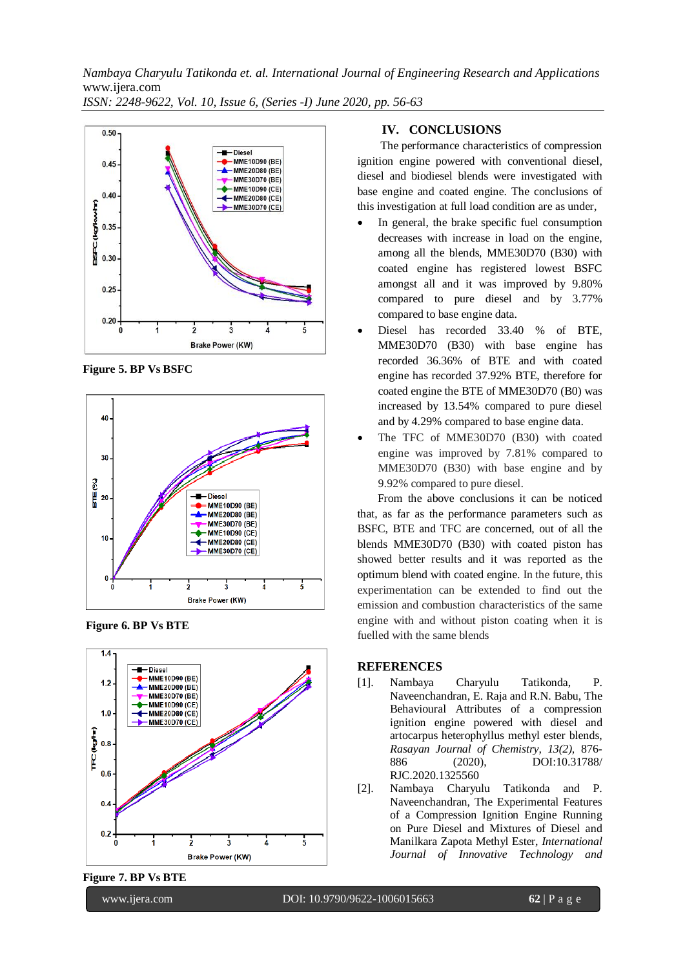

**Figure 5. BP Vs BSFC**



**Figure 6. BP Vs BTE**



**Figure 7. BP Vs BTE**

#### **IV. CONCLUSIONS**

 The performance characteristics of compression ignition engine powered with conventional diesel, diesel and biodiesel blends were investigated with base engine and coated engine. The conclusions of this investigation at full load condition are as under,

- In general, the brake specific fuel consumption decreases with increase in load on the engine, among all the blends, MME30D70 (B30) with coated engine has registered lowest BSFC amongst all and it was improved by 9.80% compared to pure diesel and by 3.77% compared to base engine data.
- Diesel has recorded 33.40 % of BTE, MME30D70 (B30) with base engine has recorded 36.36% of BTE and with coated engine has recorded 37.92% BTE, therefore for coated engine the BTE of MME30D70 (B0) was increased by 13.54% compared to pure diesel and by 4.29% compared to base engine data.
- The TFC of MME30D70 (B30) with coated engine was improved by 7.81% compared to MME30D70 (B30) with base engine and by 9.92% compared to pure diesel.

 From the above conclusions it can be noticed that, as far as the performance parameters such as BSFC, BTE and TFC are concerned, out of all the blends MME30D70 (B30) with coated piston has showed better results and it was reported as the optimum blend with coated engine. In the future, this experimentation can be extended to find out the emission and combustion characteristics of the same engine with and without piston coating when it is fuelled with the same blends

#### **REFERENCES**

- [1]. Nambaya Charyulu Tatikonda, P. Naveenchandran, E. Raja and R.N. Babu, The Behavioural Attributes of a compression ignition engine powered with diesel and artocarpus heterophyllus methyl ester blends, *Rasayan Journal of Chemistry, 13(2),* 876- 886 (2020), DOI:10.31788/ RJC.2020.1325560
- [2]. Nambaya Charyulu Tatikonda and P. Naveenchandran, The Experimental Features of a Compression Ignition Engine Running on Pure Diesel and Mixtures of Diesel and Manilkara Zapota Methyl Ester, *International Journal of Innovative Technology and*